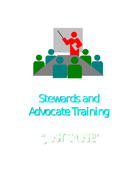

# Stewards and Advocate Training

"JUST CAUSE"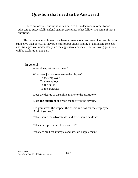## **Question that need to be Answered**

There are obvious questions which need to be understood in order for an advocate to successfully defend against discipline. What follows are some of those questions.

Please remember volumes have been written about just cause. The term is more subjective than objective. Nevertheless, proper understanding of applicable concepts and strategies will undoubtedly aid the aggressive advocate. The following questions will be explored in this part.

In general

What does just cause mean?

What does just cause mean to the players? To the employee To the employer To the union To the arbitrator

Does the degree of discipline matter to the arbitrator?

Does **the quantum of proof** change with the severity?

Do you stress the impact the discipline has on the employee? And, if so how?

What should the advocate do, and how should be done?

What concepts should I be aware of?

What are my best strategies and how do I apply them?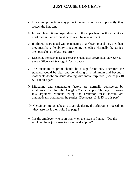## **JUST CAUSE CONCEPTS**

- $\triangleright$  Procedural protections may protect the guilty but more importantly, they protect the innocent.
- $\triangleright$  In discipline th6 employer starts with the upper hand as the arbitrators must overturn an action already taken by management.
- $\triangleright$  If arbitrators are taxed with conducting a fair hearing, and they are, then they must have flexibility in fashioning remedies. Normally the parties are not seeking the last best offer.
- $\triangleright$  Discipline normally must be corrective rather than progressive. However, is there a difference? See page 7 for the answer
- $\triangleright$  The quantum of proof should be a significant one. Therefore the standard would be clear and convincing at a minimum and beyond a reasonable doubt on issues dealing with moral turpitude. (See pages 10 & 11 in this part)
- $\triangleright$  Mitigating and extenuating factors are normally considered by arbitrators. Therefore the *Douglas Factors* apply. The key is making this argument without telling the arbitrator these factors are automatically binding on the parties. (See pages  $12 \& 13$  in this part)
- $\triangleright$  Certain arbitrators take an active role during the arbitration proceedings they assert it is their role. See page 8.
- $\triangleright$  It is the employer who is on trial when the issue is framed, "Did the employer have just cause to issue the discipline?"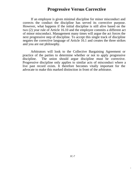## **Progressive Versus Corrective**

If an employee is given minimal discipline for minor misconduct and corrects the conduct the discipline has served its corrective purpose. However, what happens if the initial discipline is still alive based on the two (2) year rule of Article 16.10 and the employee commits a different act of minor misconduct. Management many times will argue the act forces the next progressive step of discipline. To accept this single track of discipline negates the corrective language of Article 16.1 and creates the three strikes and you are out philosophy.

Arbitrators will look to the Collective Bargaining Agreement or practice of the parties to determine whether or not to apply progressive discipline. The union should argue discipline must be corrective. Progressive discipline only applies to similar acts of misconduct where a live past record exists. It therefore becomes vitally important for the advocate to make this marked distinction in front of the arbitrator.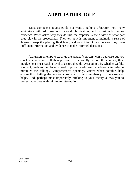## **ARBITRATORS ROLE**

Most competent advocates do not want a 'talking' arbitrator. Yet, many arbitrators will ask questions beyond clarification, and occasionally request evidence. When asked why they do this, the response is their ,view of what part they play in the proceedings. They tell us it is important to maintain a sense of fairness, keep the playing field level, and as a trier of fact be sure they have sufficient information and evidence to make informed decisions.

Arbitrators attempt to teach us the adage, "you can't win a bad case but you can lose a good one". If their purpose is to correctly enforce the contract, their involvement must reach a level to ensure they do. Accepting this, whether we like it or not, leads to the obvious need to properly educate the arbitrator in order to minimize the 'talking'. Comprehensive openings, written when possible, help ensure this. Letting the arbitrator know up front your theory of the case also helps. And, perhaps most importantly, sticking to your theory allows you to present your case with minimum interruption.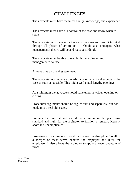# **CHALLENGES**

The advocate must have technical ability, knowledge, and experience.

The advocate must have full control of the case and know when to settle.

The advocate must develop a theory of the case and keep it in mind through all phases of arbitration. Should also anticipate what management's theory will be and react accordingly.

The advocate must be able to read both the arbitrator and management's counsel.

Always give an opening statement

The advocate must educate the arbitrator on all critical aspects of the case as soon as possible. This might well entail lengthy openings.

At a minimum the advocate should have either a written opening or closing.

Procedural arguments should be argued first and separately, but not made into threshold issues.

Framing the issue should include at a minimum the just cause standard and right for the arbitrator to fashion a remedy. Keep it short and uncomplicated.

Progressive discipline is different than corrective discipline. To allow a merger of these terms benefits the employer and hurts the employee. It also allows the arbitrator to apply a lower quantum of proof.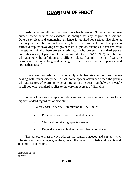# **QUANTUM OF PROOF**

Arbitrators are all over the board on what is needed. Some argue the least burden, preponderance of evidence, is enough for any degree of discipline. Others say clear and convincing evidence is required for serious discipline. A minority believe the criminal standard, beyond a reasonable doubt, applies to serious discipline involving charges of moral turpitude, examples - theft and child molestation. Finally there are some arbitrators who profess no standard per se, but rather argue, 'I just have to be convinced." (Seitz, NAA 1983) In 1966 one arbitrator took the definition to a different plane, "...think in terms of variable degrees of caution, so long as it is recognized these degrees are metaphorical and not mathematical."

There are few arbitrators who apply a higher standard of proof when dealing with minor discipline. In fact, some appear astounded when the parties arbitrate Letters of Warning. Most arbitrators are reluctant publicly or privately to tell you what standard applies to the varying degrees of discipline.

What follows are a simple definition and suggestions on how to argue for a higher standard regardless of discipline.

West Coast Tripartite Commission (NAA -1 962)

- ÿ Preponderance - more persuaded than not
- ÿ Clear and convincing - pretty certain
- ÿ Beyond a reasonable doubt - completely convinced

The advocate must always address the standard needed and explain why. The standard must always give the grievant the benefit **of** substantial doubts and be corrective in nature.

*Just Cause Quantum of Proof*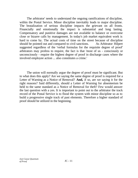The arbitrator' needs to understand the ongoing ramifications of discipline, within the Postal Service. Minor discipline inevitably leads to major discipline. The brutalization of serious discipline impacts the grievant on all fronts. Financially and emotionally the impact is substantial and long lasting. Compensatory and punitive damages are not available to balance or overcome close or bizarre calls by management. In today's job market equivalent work is hard to come by. The actual costs of time on the street because of discipline should be pointed out and compared to civil sanctions. As Arbitrator Hilpert suggested regardless of the 'verbal formulas for the requisite degree of proof' arbitrators may profess to require, the fact is that 'most of us - consciously or unconsciously - require the highest degree of proof in discharge cases where the involved employee action ... also constitutes a crime.'

The union will normally argue the degree of proof must be significant. But to what does this apply? Are we saying the same degree of proof is required for a Letter of Warning as a Notice of Removal? **And,** if so, are we saying it for the right reasons? Said differently, should a Letter of Warning for absenteeism be held to the same standard as a Notice of Removal for theft? Few would answer the last question with a yes. It is important to point out to the arbitrator the track record of the Postal Service is to flood the system with minor discipline so as to build a progressive single track of past elements. Therefore a higher standard of proof should be utilized in the beginning.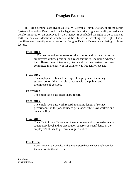## **Douglas Factors**

In 1981 a seminal case (Douglas, et al v. Veterans Administration, et al) the Merit Systems Protection Board took on its legal and historical right to modify or reduce a penalty imposed on an employee by the Agency. It concluded the right to do so and set forth various considerations which would be utilized in invoking this right. These modifiers are currently referred to as the Douglas Factors. Below are a listing of those factors.

#### **FACTOR 1:**

 The nature and seriousness of' the offense and its relation to the employee's duties, position and responsibilities, including whether the offense was intentional, technical or inadvertent, or was committed maliciously or for gain, or was frequently repeated.

#### **FACTOR 2:**

The employee's job level and type of employment, including supervisory or fiduciary role, contacts with the public, and prominence of position.

#### **FACTOR 3:**

The employee's past disciplinary record

#### **FACTOR 4:**

The employee's past work record, including length of service, performance on the job, ability to get along with fellow workers and dependability.

#### **FACTOR 5:**

The effect of the offense upon the employee's ability to perform at a satisfactory level and its effect upon supervisor's confidence in the employee's ability to perform assigned duties.

#### **FACTOR6:**

Consistency of the penalty with those imposed upon other employees for the same or similar offenses.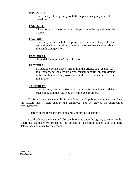#### **FACTOR 7:**

Consistency of the penalty iivith the applicable agency table of penalties.

#### **FACTOR 8:**

The notoriety of the offense or its impact upon the reputation of the agency.

#### **FACTOR 9:**

The clarity with which the employee was on notice of any rules that were violated in committing the offense, or had been warned about the conduct in question.

#### **FACTOR 10:**

Potential for employee's rehabilitation

#### **FACTOR 11:**

Mitigating circumstances surrounding the offense such as unusual job tensions, personality problems, mental impairment, harassment, or bad faith, malice or provocation on the part of others involved in this matter.

#### **FACTOR 12:**

The adequacy and effectiveness of alternative sanctions to deter such conduct in the future by the employee or others.

The Board recognizes not all of these factors will apply to any given case. Also, the factors may weigh against the employee and be viewed as aggravating circumstances.

Board will use these factors to balance appropriate discipline

Board believes the clear and ultimate burden is upon the agency to convince the Board its actions were proper as the amount of discipline issued was originally determined and made by the agency.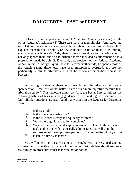## **DAUGHERTY – PAST or PRESENT**

Elsewhere in this part is a listing of Arbitrator Daugherty's seven (7) tests of just cause. (Attachment #1) These tests have in their simplest form stood the test of time. Even now you can read volumes about them or rent a video which explains them to you. Triple A (AAA) continues to utilize them in its training manual (see attachment #2). Why then is there a growing trend by arbitrators to not only ignore them but also to criticize them? Included as attachment #3 is a presentation made by John E. Dunsford, past president of the National Academy of Arbitrators. Although saying these tests favor neither side, he spends most of the Article saying these tests have been misapplied, overused, and are not particularly helpful to arbitrators. In sum, he believes arbitral discretion is the best test.

A thorough review of these tests does leave 'the advocate with some apprehension. Yet, are we not better served with a more objective measure than arbitral discretion? This advocate thinks so. And, the Postal Service utilizes the following listing of tests in giving guidance to the handling of discipline (EL-921). Similar questions are also found many times on the Request for Discipline form.

- 1 . Is there a rule?
- 2. Is the rule a reasonable one?
- 3. Is the rule consistently and equitably enforced?
- 4. Was a thorough investigation completed?
- 5. Was the severity of the discipline reasonably related to the infraction itself and in line with that usually administered, as well as to the seriousness of the employee's past record? Was the disciplinary action
- 6. taken in a timely manner?

You will note in all these variations of Daugherty's propriety of discipline no mention is specifically made of the merits. Said differently, these tests basically go to procedure rather than whether or not the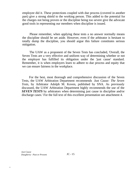employee did it. These protections coupled with due process (covered in another part) give a strong shield to the working person. This added to the potential for the charges not being proven or the discipline being too severe give the advocate good tools in representing our members when discipline is issued.

Please remember, when applying these tests a no answer normally means the discipline should be set aside. However, even if the arbitrator is hesitant to totally dump the discipline, you should argue this failure constitutes serious mitigation.

The UAW as a proponent of the Seven Tests has concluded, 'Overall, the Seven Tests are a very effective and uniform way of determining whether or not the employer has fulfilled its obligation under the 'just cause' standard. Remember, it is when employers learn to adhere to due process and equity that we can ensure fairness in the workplace.

For the best, most thorough and comprehensive discussion of the Seven Tests, the UAW Arbitration Department recommends *Just Cause: The Seven Tests,* by Arbitrator Adolph M. Koven, published by SNA. As previously discussed, the UAW Arbitration Department highly recommends the use of the *SEVEN TESTS* by arbitrators when determining just cause in discipline and/or discharge cases.' For the full text of this excellent presentation see attachment 4.

*Just Cause Daugherty - Past or Present*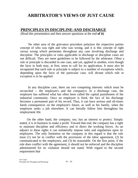## **ARBITRATOR'S VIEWS OF JUST CAUSE**

### **PRINCIPLES IN DISCIPLINE-AND DISCHARGE**

(Read this presentation and then answer questions at the end **of it)**

No other area of the grievance procedure polarizes the respective parties concept of who was right and who was wrong, and it is this concept of right versus wrong which permeates throughout any case involving discharge and discipline. The principles or rules applicable in discharge or discipline cases are not difficult. They are mere guidelines to be followed by the arbitrator. Often a rule or principle is discarded in one case, and yet, applied in another, even though the facts in both may, at first, seem to call for its application. It must also be recognized that each rule or principle is subject to a number of exceptions which, depending upon the facts of the particular case, will dictate which rule or exception is to be applied.

In any discipline case, there are two competing interests which must be reconciled -- the employee's and the company's. In a discharge case, the employee has suffered what has often been called the capital punishment of the industrial community. Once an employee is fired, the fact of his discharge becomes a permanent part of his record. Thus, it can have serious and oft-times harsh consequences on the employee's future, as well as his family, when the employee seeks a job elsewhere. It can literally follow him throughout his employment life.

On the other hand, the company, too, has an interest to protect. Simply stated, it is in business to make a profit. Toward that end, the company has a right to maintain discipline and efficiency and to direct the working forces. As an adjunct to these rights it can unilaterally impose rules and regulations upon its employees. The only limitation on the company in this regard is that the rule must (1) not be in conflict with the provisions of the labor agreement, (2) be communicated to the employees, and (3) be reasonable. On the first point, if the rule does conflict with the agreement, it should not be enforced and the discipline administered for its violation should not stand. With regard to the second requirement that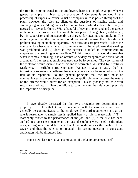the rule be communicated to the employees, here is a simple example where a general principle is subject to an exception. A Company is engaged in the processing of expensive caviar. A list of company rules is posted throughout the plant; however, the rules are silent on the questions of stealing caviar and smoking cigarettes. Along comes Joe, an employee, who decides to have -- you guessed it - caviar for lunch. With a handful of caviar in one hand and a cigarette in the other, Joe proceeds to his private hiding place. He is grabbed, red-handed, by his supervisor and subsequently discharged for stealing and smoking. The union argues that the discharge should not stand because the rules did not prohibit stealing or smoking cigarettes. Two questions are presented: (1) does the company lose because it failed to communicate to the employees that stealing was prohibited, and (2) does it lose because it failed to communicate to employees that smoking was prohibited? I think most of us would agree that when it comes to stealing, it is an offense so widely recognized as a violation of a company's interest that employees need not be forewarned. The very nature of the violation would dictate that discipline is warranted. As stated by Arbitrator Markowitz in Buffalo Forge Company (52 LA 1 203, 1 969), 'theft is intrinsically so serious an offense that management cannot be required to run the risk of its repetition.' So the general principle that the rule must be communicated to the employee would not be applicable here, because the nature of the offense would allow for an exception. This is probably not true with regard to smoking. Here the failure to communicate the rule would preclude the imposition of discipline.

I have already discussed the first two principles for determining the propriety of a rule - that it not be in conflict with the agreement and that it generally be communicated to the employee. The third requirement is that the rule is reasonable. A simple test is applied here - a rule is reasonable if (1) it reasonably relates to the performance of the job, and (2) if the rule has been applied in a consistent manner in the past. If smoking were listed in the plant rules, an argument could be made that tobacco diminishes the quality of the caviar, and thus the rule is job related. The second question of consistent application will be discussed later.

Right now, let's turn to an examination of the labor agreement itself.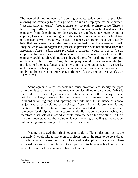The overwhelming number of labor agreements today contain a provision allowing the company to discharge or discipline an employee for "just cause", "just and sufficient cause", "proper cause" or just plain, ordinary cause. There is little, if any, difference in these terms. Their purpose is to limit and restrict a company from disciplining or discharging an employee for mere whim or caprice., However, there are agreements which do not contain such a limitation on the company's prerogative. In such instances, arbitrators have consistently held that just cause, or similar terms, are implied from the agreement itself. Imagine what would happen if a just cause provision was not implied from the agreement. Absent a just cause provision, a company would be free to fire an employee for any reason. If there could be a discharge without cause, the company could lay-off without cause. It could thereafter recall, transfer, promote or demote without cause. Thus, the company would reduce to annulity (not provided for] the most fundamental provision of a labor agreement -- the security of the worker at his job. Thus, even absent a cause provision, an arbitrator will imply one from the labor agreement. In the regard, see Cameron Iron Works, 25 LA 295, 301.

Some agreements that do contain a cause provision also specify the types of misconduct for which an employee can be disciplined or discharged. What is the result if, for example, a provision in the contract says that employees shall not be discharged except for just cause, then proceeds to list gross insubordination, fighting, and reporting for work under the influence of alcohol as just cause for discipline or discharge. Absent from this provision is any mention of theft. Arbitrators have generally concluded that the enumerated references for disciplinary conduct are merely illustrative and not exclusive, and therefore, other acts of misconduct could form the basis for discipline. So there is no misunderstanding, the arbitrator is not amending or adding to the contract but, rather, giving meaning to the just cause provision.

Having discussed the principles applicable to Plant rules and just cause generally, I would like to move on to a discussion of the rules to be considered by arbitrators in determining the outcome of a disciplinary grievance. These rules will be discussed in reference to simple fact situations which, of course, the arbitrator is never lucky enough to have bef ore him.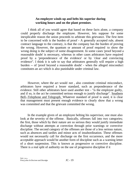#### **An employee winds up and belts his superior during working hours and on the plant premises**.

I think all of you would agree that based on these facts alone, a company could properly discharge the employee. However, lets suppose for some inexplicable reason the union proceeds to arbitrate this grievance. The first item to be concerned with is the burden of proof - A generally accepted rule, absent contract language to the contrary, is that the company has the burden of proving the wrong. However, the quantum or amount of proof required to show the wrong doing is the subject of some disagreement. In some cases 'proof beyond a reasonable doubt' is necessary, whereas in other cases arbitrators have required proof by a 'preponderance of the evidence' or by 'clear and convincing evidence". I think it is safe to say that arbitrators generally will require a high burden -- of 'proof beyond a reasonable doubt' - when the alleged misconduct constitutes an act which is also punishable under criminal law.

However, where the act would not , also constitute criminal misconduct, arbitrators have required a lesser standard, such as preponderance of the evidence. Still other arbitrators have used another test - "is the employee guilty, and if so, is the act he committed serious enough to justify discharge". Southern Bell--Telephone and Telegraph. Whatever standard of proof is used, it is clear that management must present enough evidence to clearly show that a wrong was committed and that the grievant committed the wrong.

In the example given of an employee belting his supervisor, one must also look at the severity of the offense. Basically, offenses fall into two categories; the first, those which by their nature are so serious they would justify immediate discharge without attempts at correction through prior warnings or corrective discipline. The second category of the offenses are those of a less serious nature, such as absences and tardies and minor acts of insubordination. These offenses would not necessarily call for discharge on the first occurrence, and the more acceptable approach would be another form of discipline such as a warning letter of a short suspension. This is known as progressive or corrective discipline. There is a real split of authority on the use of progressive discipline if it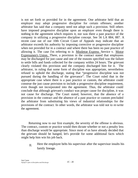is not set forth or provided for in the agreement. One arbitrator held that an employer may adopt progressive discipline for certain offenses; another arbitrator has said that a company need not adopt such a provision. Still others have imposed progressive discipline upon an employer even though there is nothing in the agreement which requires it, nor was there a past practice of the company in utilizing a progressive discipline concept. See 56 LA 884, 887. A recent case out of our 10th Circuit Court of Appeals may indicate that an arbitrator exceeds his authority by imposing corrective or progressive discipline when not provided for in a contract and where there has been no past practice of allowing it. The case I'm referring to is Mistletoe Express Service v. Motor Expressmen's Union. There, a provision in the contract stated that employees may be discharged for just cause and one of the reasons specified was the failure to settle bills and funds collected for the company within 24 hours. The grievant clearly violated this provision and the company discharged him for it. The arbitrator, in ruling that some form of discipline was appropriate, nevertheless refused to uphold the discharge, stating that "progressive discipline was not pursued during the handling of the grievance". The Court ruled that in the appropriate case where there is a past practice or custom, the arbitrator could construe the just cause provision to include a progressive discipline requirement, even though not incorporated into the agreement. Thus, the arbitrator could conclude that although grievant's conduct was proper cause for discipline, it was not cause for discharge. The Court stated, however, that the absence of a provision in the contract and the absence of a past practice or custom precluded the arbitrator from substituting his views of industrial relationships for the provisions of the contract. In other words, the arbitrator was told not to re-write the agreement.

Returning now to our first example, the severity of the offense is obvious. The contract, custom or practice would then dictate whether or not a penalty less than discharge would be appropriate. Since most of us have already decided that the grievant should be hanged, let's provide for some additional facts which might help him win his job back.

 $II<sub>II</sub>$  Here the employee belts his supervisor after the supervisor insults his family lineage.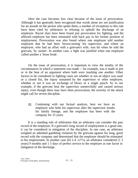Here the case becomes less clear because of the issue of provocation. Although it has generally been recognized that words alone are not justification for an assault on the person who spoke them, a number of exceptions to this rule have been cited by arbitrators in refusing to uphold the discharge of an employee. Racial slurs have been found just provocation for fighting, and the affected employee has been reinstated with back pay to his former position of employment. Provocation was also found where one employee told another employee that he had been 'brown-nosing' his supervisor, and where an employee, who had an affair with a grievant's wife, was hit when he told the grievant, 'hi, sucker'. In another case, a fight was justified when one employee called another a 'Jesus freak'.

On the issue of provocation, it is important to view the totality of the circumstances in which a statement was made -- for example, was it made in jest or in the heat of an argument where both were insulting one another. Other factors to be considered in fighting cases are whether or not an object was used or a closed fist, the injury sustained by the supervisor or other employee, whether or not it was an exchange of blows or a single punch. So in our example, if the grievant beat the supervisor unmercifully and caused serious injury, even though there may have been provocation, the severity of the attack might call for severe discipline.

III. Continuing with our factual analysis, here we have an employee who belts his supervisor after the supervisor insults his family lineage, and the employee has been with the company for 15 years.

It is a standing rule of arbitration that an arbitrator can consider the past record of the employee. If a grievant's long record of employment is a good one, it can be considered in mitigation of the discipline. In one case, an arbitrator weighed an admitted gambling violation by the grievant against his long, good record with the company and determined that the employee should be reinstated to his employment. In another case (65 LA 1271), an arbitrator considered [1 5 years] 9 months and 1 5 days of perfect service to the employer as one factor in mitigation of the discharge.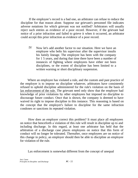If the employee's record is a bad one, an arbitrator can refuse to reduce the discipline for that reason alone. Suppose our grievant's personnel file indicates adverse notations for which grievant was not notified? Arbitrators will usually reject such entries as evidence of a poor record. However, if the grievant had notice of a prior infraction and failed to grieve it when it occurred, an arbitrator could accept this prior infraction as evidence of a poor record.

IV Now let's add another factor to our situation. Here we have an employee who belts his supervisor after the supervisor insults his family lineage. The employee has been with the company for 1 5 years, and during that time there have been a number of instances of fighting where employees have either not been disciplines, or the extent of discipline has been limited to a written warning or short disciplinary suspension.

Where an employee has violated a rule, and the custom and past practice of the employer is to impose no discipline whatever, arbitrators have consistently refused to uphold discipline administered for the rule's violation on the basis of lax enforcement of the rule. The grievant need only show that the employer had knowledge of prior violations by other employees but imposed no discipline to discourage future conduct. Once that is shown, the company is deemed to have waived its right to impose discipline in this instance. This reasoning is based on the concept that the employer's failure to discipline for the same infraction condones or sanctions its repeated violation.

How does an employer correct this problem? It must place all employees on notice that henceforth a violation of this rule will result in discipline up to and including discharge. In this regard, at least one arbitrator has held that the arbitration of a discharge case places employees on notice that this form of conduct will no longer be tolerated. Thereafter, once employees are on notice of this change in policy, an employer should then be able to discipline an employee for violation of the rule.

Lax enforcement is somewhat different from the concept of unequal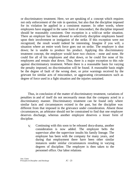or discriminatory treatment. Here, we are speaking of a concept which requires not only enforcement of the rule in question, but also that the discipline imposed for its violation be applied in a consistent manner. In other words, where employees have engaged in the same form of misconduct, the discipline imposed should be reasonably consistent. One exception is a wild-cat strike situation. There an employer has been allowed to selectively discipline employees based upon their involvement or instigation of the strike. If this exception were not recognized, the result would indeed be interesting. Imagine if you will, a situation where an entire work force goes out on strike. The employer is shut down; he is unable to produce his product. Applying this discriminatory treatment concept, the employer would have two choices - none and none. He could fire all of his employees and shut down, or he could fire none of his employees and remain shut down. Thus, there is a major exception to this rule against discriminatory treatment. Where there is a reasonable basis for varying the penalty imposed, no discrimination will be found. A reasonable basis might be the degree of fault of the wrong doer, or prior warnings received by the grievant for similar acts of misconduct, or aggravating circumstances such as degree of force used in a fight situation and the injuries sustained.

Thus, in conclusion of the matter of discriminatory treatment, variations of penalties in and of itself do not necessarily mean that the company acted in a discriminatory manner. Discriminatory treatment can be found only where similar facts and circumstances existed in the past, but the discipline was different from that imposed in the grievance under consideration. Absent those circumstances, an arbitrator should not be constrained to find that one employee deserves discharge, whereas another employee deserves a lesser form of discipline.

V. Continuing with this soon to be released docu-drama, another consideration is now added. The employee belts the supervisor after the supervisor insults his family lineage. The employee has been with the company for many years, and during that employment there have been other similar instances under similar circumstances resulting in varying degrees of discipline. The employee is then taken to the personnel office. Our labor relations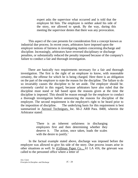expert asks the supervisor what occurred and is told that the employee hit him. The employee is neither asked his side of the story, nor allowed to speak. By the way, during this meeting the supervisor denies that there was any provocation.

This aspect of the case presents for consideration first a concept known as industrial due process. In recent years, arbitrators have imposed upon the employer notions of fairness in investigating matters concerning discharge and discipline. Increasingly, arbitrators have reversed disciplinary or discharge penalties, or substantially reduced the penalty imposed because of the company's failure to conduct a fair and thorough investigation.

There are basically two requirements necessary for a fair and thorough investigation. The first is the right of an employee to know, with reasonable certainty, the offense for which he is being charged. Here there is an obligation on the part of the employer to state the reason for the discipline. The failure to do so invariably causes the discipline to be set aside. The employer should be. extremely careful in this regard, because arbitrators have also ruled that the discipline must stand or fall based upon the reasons given at the time the discipline is imposed. This should be reason enough for the employer to conduct a thorough investigation before announcing the reasons for discipline of the employee. The second requirement is the employee's right to be heard prior to the imposition of discipline. The underlying basis for this requirement is best summarized in Aerosol Technigues, Inc. 66-2 ARB Para. 8400, wherein the Arbitrator stated:

> 'There is an inherent unfairness in discharging employees first and then determining whether they deserve it. The action, once taken, loads the scales with the desire to justify.'

In the factual example stated above, discharge was imposed before the employee was allowed to give his side of the story. Due process issues arise in other situations as well. In (Gillman Paper Co.., 61 LA 416, the grievant was called to the personnel office where a letter of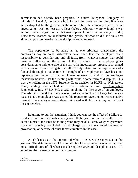termination had already been prepared. In United Telephone Comgany of Florida 61 LA 443, the facts which formed the basis for the discipline were never disputed by the grievant or the union. Thus, the company argued that an investigation was not necessary. Nevertheless, Arbitrator Murphy found it was not only what the grievant did that was important, but the reasons why he did it, since those reasons could minimize the gravity of what he did and thus bear directly upon the question of the discipline to be imposed.

The opportunity to be heard is, as one arbitrator characterized the employee's day in court. Arbitrators have ruled that the employer has a responsibility to consider any and all facts, from whatever source, that could have an influence on the extent of the discipline. If the employer gives consideration to only one side of the story, the investigatory process is so tainted as to amount to no investigation at all. Closely related to the requirement of a fair and thorough investigation is the right of an employee to have his union representative present if the employees requests it, and if the employee reasonably believes that the meeting will result in some form of discipline. This was the holding in the 1975 Supreme Court decision in NLRB v. Weingarten. This.; holding was applied in a recent arbitration case of Combustion Engineering, Inc., 67 LA 349, a case involving the discharge of an employee. The arbitrator found that there was no just cause for the discharge for the sole reason that the employee was denied his request to have a union representative present. The employee was ordered reinstated with full back pay and without loss of benefits.

Returning to our fact situation, I think you can see the effect of a failure to conduct a fair and thorough investigation. If the grievant had been allowed to defend himself, the labor relations person may have, at least, weighed grievant's story and possibly concluded that discharge was not warranted because of provocation, or because of other factors involved in the case.

Which leads us to the question of who to believe, the supervisor or the grievant. The determination of the credibility of the given witness is perhaps the most difficult area of all when considering discharge and discipline cases. All too often, the determination of the witnesses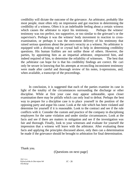credibility will dictate the outcome of the grievance. An arbitrator, probably like most people, must often rely on impression and gut reaction in determining the credibility of a witness. Often it is an indefinable feeling about a certain witness which causes the arbitrator to reject his testimony. Perhaps the witness' testimony was too perfect, too supportive, or too similar to the grievant's or the supervisor's. Perhaps it was the witness' body movement in reaction to crossexamination, or perhaps it was the monotone delivery of his testimony that raised serious questions about the person's veracity as a witness. No arbitrator is equipped with a divining rod or crystal ball to help in determining credibility questions. His human frailties are not unlike those of others. However, the parties, by appointing him as an impartial arbitrator, empowered him, and indeed required of him, to determine the reliability of witnesses. The best that the ;arbitrator can hope for is that his credibility findings are correct. He cari only be secure in knowing that his attempts at reconciling inconsistent testimony were made after careful and thorough review of his notes, ii-npressions, and, when available, a transcript of the proceedings.

In conclusion, it is suggested that each of the parties examine its case in light of the totality of the circumstances surrounding the discharge or other discipline. While at first your case may appear unbeatable, upon closer examination there may be pitfalls which can only lead to defeat. Perhaps the best way to prepare for a discipline case is to place yourself in the position of the opposing party and argue his cause. Look at the rule which has been violated and determine for yourself if it is reasonable. Look to the contract and see if the rule conflicts with it. Consider the custom and practice of the company in disciplining employees for the same violation and under similar circumstances. Look at the facts and see if there are matters in mitigation and see if the investigation was fair and thorough. Finally, look to your witnesses and evaluate for yourself the impression that a witness will leave with the arbitrator. After evaluating these facts and applying the principles discussed above, only then can a determination be made if the grievance should be brought to arbitration for final determination.

Thank you.

(Questions on next page]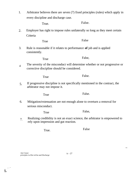True. False.

2. Employer has right to impose rules unilaterally so long as they meet certain **Criteria** 

True False

3. Rule is reasonable if it relates to performance **of** job and is applied consistently.

True False,

4 The severity of the misconduct will determine whether or not progressive or corrective discipline should be considered.

True False.

5. If progressive discipline is not specifically mentioned in the contract, the arbitrator may not impose it.

True False.

6. Mitigation/extenuation are not enough alone to overturn a removal for serious misconduct.

True False,

7. Realizing credibility is not an exact science, the arbitrator is empowered to rely upon impression and gut reaction.

True. False

 $\sim$ 

, . -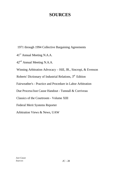## **SOURCES**

1971 through 1994 Collective Bargaining Agreements

41<sup>st</sup> Annual Meeting N.A.A.

42<sup>nd</sup> Annual Meeting N.A.A.

Winning Arbitration Advocacy – Hill, JR., Sincropi, & Evenson

Roberts' Dictionary of Industrial Relations, 3<sup>rd</sup> Edition

Fairweather's - Practice and Procedure in Labor Arbitration

Due Process/Just Cause Handout - Tunstall & Corriveau

Classics of the Courtroom - Volume XIII

Federal Merit Systems Reporter

Arbitration Views & News, UAW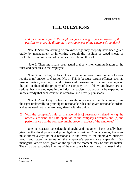# **THE QUESTIONS**

#### *1. Did the company give to the employee forewarning or foreknowledge of the possible or probable disciplinary consequences of the employee's conduct?*

Note 1: Said forewarning or foreknowledge may properly have been given orally by management or in writing through the medium of typed sheets or booklets of shop rules and of penalties for violation thereof.

Note 2: There must have been actual oral or written communication of the rules and penalties to the employee.

Note 3: A finding of lack of such communication does not in all cases require a 'no' answer to Question No. 1. This is because certain offenses such as insubordination, coming to work intoxicated, drinking intoxicating beverages on the job, or theft of the property of the company or of fellow employees are so serious that any employee in the industrial society may properly be expected to know already that such conduct is offensive and heavily punishable.

Note 4: Absent any contractual prohibition or restriction, the company has the right unilaterally to promulgate reasonable rules and given reasonable orders; and same need not have been negotiated with the union.

2. Was the company's rule or managerial [sic] reasonably related to (a) the orderly, efficient, and safe operation of the company's business and (b) the performance that the company might properly expect of the employee?

Note 1: Because considerable thought and judgment have usually been given to the development and promulgation of written Company rules, the rules must almost always be held reasonable in the terms of the employer's business needs and Usually in terms of the employee's performance capacities. But managerial orders often given on the spur of the moment, may be another matter. They may be reasonable in terms of the company's business needs, at least in the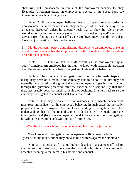short run, but unreasonable in terms of the employee's capacity to obey. Example: A foreman orders an employee to operate a high-speed band saw known to be unsafe and dangerous.

Note 2: If an employee believes that a company rule or order is unreasonable, he must nevertheless obey same (in which case he may file a grievance thereover) unless he sincerely feels that to obey the rule or order would seriously and immediately jeopardize his personal safety and/or integrity. Given a firm finding to the latter effect, the employee may properly be said to have had justification for his disobedience.

3. Did the company, *before* administering discipline to an employee, make an effort to discover whether the employee did in fact violate or disobey a rule or order of management?

Note 1: This Question (and No. 4) constitutes the employee's 'day in court" principle. An employee has the right to know with reasonable precision the offense with which he is being charged and to defend his behavior.

Note 2: The company's investigation must normally be made *before* its disciplinary decision is made. If the company fails to do so, it's failure may not normally be excused on the ground that the employee will get his day in court through the grievance procedure after the exaction of discipline. By that time there has usually been too much hardening of positions. In a very real sense the company is obligated to conduct itself like a trial court.

Note 3: There may of course be circumstances under which management must react immediately to the employee's behavior. In such cases the normally proper action is to suspend the employee pending investigation, with the understanding that (a) the final disciplinary decision will be made after the investigation and (b) if the employee is found innocent after the investigation, he will be restored to his job with full pay for time lost.

3. Was the company's investigation conducted fairly and objectively?

 Note 1: At said investigation the management official may be both prosecutor and judge, but he may not also be a witness against the employee.

Note 2: It is essential for some higher, detached management official to assume and conscientiously per-form the judicial role, giving the commonly accepted meaning to that term in his attitude and conduct.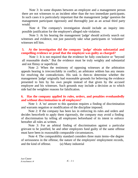Note 3: In some disputes between an employee and a management person there are not witnesses to an incident other than the two immediate participants. In such cases it is particularly important that the management 'judge' question the management participant rigorously and thoroughly just as an actual third party would.

Note 4: The company's investigation should include an inquiry into possible justification for the employee's alleged rule violation.

Note 5: At his hearing the management 'judge' should actively search out witnesses and evidence, not just passively take what participants or 'volunteer' witnesses tell him.

#### **5. At the investigation did the company 'judge' obtain substantial and compelling evidence or proof that the employee was guilty as charged?**

Note 1: It is not required that the evidence be fully conclusive or "beyond all reasonable doubt." But the evidence must be truly weighty and substantial and not flimsy or superficial.

Note 2: When the testimony of opposing witnesses at the arbitration appeals hearing is irreconcilably in conflict, an arbitrator seldom has any means for resolving the contradictions. His task is then-to determine whether the management 'judge' originally had reasonable grounds for believing the evidence presented to him by his own people instead of that given by the accused employee and his witnesses. Such grounds may include a decision as to which side had the weightier reasons for falsification.

#### **6. Has the company applied its rules, orders, and penalties evenhandedly and without discrimination to all employees?**

Note 1: A 'no' answer to this question requires a finding of discrimination and warrants negation or modification of the discipline imposed.

Note 2: If the company has been lax in enforcing its rules and orders and decides henceforth to apply them rigorously, the company may avoid a finding of discrimination by telling all employees beforehand of its intent to enforce hereafter all rules as written.

Note 3: For an arbitral finding of discrimination against a particular grievant to be justified, he and other employees fund guilty of the same offense must have been in reasonabl)t comparable circumstances.

Note 4: The comparability standard considers three main items--the degree of seriousness in the offense, the nature of the employees' employment records, and the kind of offense. (a) Many industrial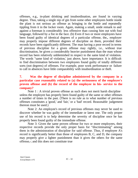offenses, e.g., in-plant drinking and insubordination, are found in varying degree. Thus, taking a single nip of gin from some other employees bottle inside the plant is not serious an offense as bringing in the bottle and repeatedly tippling from it in the locker room. Again, making a small, snide remark to and against a foreman is considerably less offensive than cussing him out with foul language, followed by a fist in the face. (b) Even if two or more employees have been found guilty of identical degrees of a particular offense, the,, employer may properly impose different degrees of discipline on them, provided their records have been significantly different. The man having a poor record in terms of previous discipline for a given offense may rightly, i.e., without true discrimination, be given a considerably heavier punishment than the man whose record has been relatively unblemished in respect to the same kind of violation. The words "same kind of violation,' just above, have importance. It is difficult to find discrimination between two employees found guilty of totally different sorts (not degrees) of offenses. For example, poor work performance or failure to call in absences have little comparability with insubordination or theft.

#### **7. Was the degree of discipline administered by the company in a particular case reasonably related to (a) the seriousness of the employee's proven offense and (b) the record of the employee in his- service to the company?**

Note 1 : A trivial proven offense as such does not merit harsh discipline unless the employee has properly been found guilty of the same or other offenses a number of times in the past. (There is no rule as to what number of previous offenses constitutes a 'good,' and 'fair,' or a 'bad' record. Reasonable judgement thereon must be used.)

Note 2: An employee's record of previous offenses may never be used to discover whether he was guilty of the immediate or latest one. The only proper use of his record is to help determine the severity of discipline once he has properly been found guilty of the immediate offense.

Note 3: Given the same proven offense for two or more employees, their respective records provide the only proper basis for "discriminating" among them in the administration of discipline for said offense. Thus, if employee A's record is significantly better than those of employees B, C, and D, the company may properly give a lighter punishment than it gives the others for the same offense,-; and this does not constitute true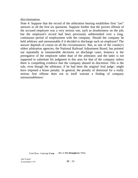discrimination.

Note 4: Suppose that the record of the arbitration hearing establishes firm "yes" answers to all the first six questions. Suppose further that the proven offense of the accused employee was a very serious one, such as drunkenness on the job; but the employee's record had been previously unblemished over a long, continuous period of employment with the company. Should the company be held arbitrary and unreasonable if it decided to discharge such an employee? The answer depends of course on all the circumstances. But, as one of the country's oldest arbitration agencies, the National Railroad Adjustment Board, has pointed out repeatedly in innumerable decisions on discharge cases, leniency is the prerogative of the employee rather than of the arbitrator; and the latter is not supposed to substitute his judgment in this area for that of the company unless there is compelling evidence that the company abused its discretion. This is the rule, even though the arbitrator, if he had been the original 'trial judge,' might have imposed a lesser penalty. In general, the penalty of dismissal for a really serious first offense does not in itself warrant a finding of company unreasonableness.'

'Grief Bros. Coperage **Corp 42** LA **555 (Daugherty** 1964).

*Just Cause A trachmen t #* I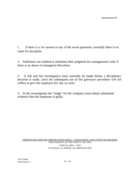1. If there is a 'no' answer to any of the seven questions, normally there is no cause for discipline.

2. Arbitrators are entitled to substitute their judgment for management's only if there is an abuse of managerial discretion.

3. A full and fair investigation must normally be made before a disciplinary decision is made, since the subsequent use of the grievance procedure will not suffice to give the employee his 'day in court.'

4. At the investigation the "judge" for the company must obtain substantial evidence that the employee is guilty.

ARBITRATION 1989 THE ARBITRATOR'S DISCR ---TION DURING AND AFTER THE HEARING PROCEEDINGS OF THE IFORTY-SECOND ANNUAL MEE--.TING NATIONAL ACADEMY OF ARBITRATORS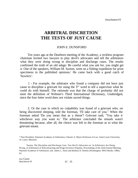Attachment #3

## **ARBITRAL DISCRETION THE TESTS OF JUST CAUSE**

#### JOHN E. DUNSFORD

Ten years ago at the Dearborn meeting of the Academy, a reckless program chairman invited two lawyers to play devil's advocates and tell the arbitrators what they were doing wrong in discipline and discharge cases. The results confirmed the truth of an old adage: Be careful what you ask for, you might get it. One of the speakers, William M. Saxton, went on a fishing expedition for prize specimens in the published opinions.' He came back with a good catch of 'howlers':

1 - For example, the arbitrator who found a company did not have just cause to discipline a grievant for using the 'F" word to tell a supervisor what he could do with himself. The rationale was that the charge of profanity did not meet the definition of Webster's Third International Dictionary, Unabridged, since the four letter word does not violate sacred things.

2. Or the case in which no culpability was found of a grievant who, on being discovered sleeping, told the foreman, 'I'll take care of you." When the foreman asked 'Do you mean that as a threat'? Grievant said, "You take it whichever way you want to.' The arbitrator concluded the remark wasn't threatening because, after all, the choice was left to the foreman as to what the grievant meant.

'Saxton, *The Discipline and Discharge Case: Two Devil's Advocates on "at Arbitrators Are Doing Wrong,* in Arbitration of Subcontracting and Wage Incentive Disputes, Proceedings of the 32nd Annual Meeting, National Academy of Arbitrators, eds. James L. Stern and Barbara D. Dennis (Washington: BNA Books, 1980), 63.

<sup>\*</sup> Past President, National Academy of Arbitrators; Chester A. Myers Professor of Law, Saint Louis University, St. Louis, Missouri.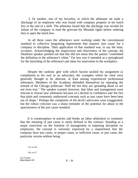3. Or another, one of my favorites, in which the arbitrator set aside a discharge of an employee who was found with company property in his lunch box at the end of a shift. The arbitrator found that the discharge was invalid for failure of the company to read the grievant his Miranda rights before ordering him to open the lunch box.

In all these cases the arbitrators were working under the conventional standard in collective bargaining Agreements that requires 'just cause' for a company to discipline. Their application of that standard was, to say the least, eccentric. Acknowledging the imprecision and elusiveness of the concept, the Dearborn speaker pointed out that this did not mean that the parties "committed the definition to the arbitrator's whim." Far less was it intended as a springboard for the launching of the arbitrator's pet ideas for innovation in the workplace.

Despite the sardonic glee with which Saxton tackled his assignment (a compliment to his zeal as an advocate), the examples which he cited were generally thought to be aberrant, at least among experienced professional arbitrators. Members of the Academy defended themselves by repeating the remark of the Chicago politician: 'Half the lies they are spreading about us are not even true." The speaker warned, however, that labor and management were reticent to choose new arbitrators because of a decline in confidence and 'the fact that plain and commonly understood concepts such as just cause have been bent out of shape." Perhaps the complaints of the devil's advocates were exaggerated, but the robust criticism was a sharp reminder of the potential for abuse in the spaciousness of the just cause standard.

It is commonplace in articles and books on labor arbitration to comment that the meaning of just cause is rarely defined in the contract. Standing as a major restriction on the freedom of management in imposing discipline on employees, the concept is variously expressed by a requirement that the company have just cause, or proper cause, or sufficient cause, or just cause, the particular version seldom being

2 id. at 64. *3 Id. a*t 67.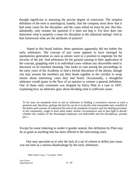thought significant in assessing the precise degree of restriction. The simplest definition of the term is tautological, namely, that the company must show that it had some cause for the discipline, and the cause relied on must be just. But this, admittedly, only restates the question if it does not beg it. For how does one determine what is properly a cause for discipline in the industrial setting? And in that framework what are the attributes of justices?

Stated in this broad fashion, these questions apparently did not bother the early arbitrators. The concept of just cause appears to have emerged by spontaneous generation as soon as unions were in a position to negotiate for the security of the job. And arbitrators hit the ground running in their application of the concept, grappling with it in individual cases without any discernible need to discourse on its essential meaning. One looks in vain among the proceedings in the early years of the Academy to find a formal discussion of the phrase, though one may assume the members put their heads together in the corridor to swap stories about interesting cases they had heard. Occasionally, a thoughtful arbitrator would pause in the flow of an opinion to venture a general definition. One of those early comments was dropped by Harry Platt in a case in 1947, explaining how an arbitrator goes about deciding what is sufficient cause:

Except for some tinkering to render it gender neutral, this definition by Platt may be as good as anything that has been offered in the intervening years.

One may speculate as to why the lack of a set of criteria to define just cause was not seen as a serious disadvantage by the early arbitrators.

*'Riley Stoker Corp.,* 7 LA lplatt, 1947)

To be sure, no standards exist to aid an arbitrator in finding a conclusive answer to such a question and, therefore, perhaps the best he can do is to decide what reasonable men, mindful of the habits and customs of industrial life and of the standards of justice and fair dealing prevalent in the community, ought to have done under similar circumstances and in that light to decide whether the conduct of the discharged employee was defensible and the disciplinary penalty just. 4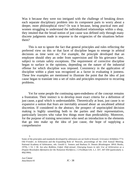Was it because they were too intrigued with the challenge of breaking down each separate disciplinary problem into its component parts to worry about a deeper, more philosophical view? Or was it because, being practical men and women struggling to understand the individualized relationships within a shop, they intuited that the broad notion of just cause was defined only through many discrete judgments made in response to the exigencies of the situations before them?

This is not to ignore the fact that general principles and rules reflecting the preferred view on this or that facet of discipline began to emerge in arbitral decisions as time went on.' For example, the principle developed that an employee should obey an order from supervision and file his grievance later, subject to certain safety exceptions. The requirement of corrective discipline began to surface in the opinions, depending on the nature of the industrial offense for which discipline was imposed. Consistency in the application of discipline within a plant was recognized as a factor in evaluating it justness. These few examples are mentioned to illustrate the point that the idea of just cause began to translate into a set of rules and principles responsive to recurring problems.

Yet for some people the continuing open-endedness of the concept remains a frustration. Their instinct is to develop more exact criteria for a definition of just cause, a goal which is understandable. Theoretically at least, just cause is so expansive a notion that fears are inevitably aroused about an uncabined arbitral discretion. If considered in the abstract, the prospect of unprincipled decision making is highly unsettling both to the parties and their representatives, particularly lawyers who value few things more than predictability. Moreover, for the purpose of training newcomers who need an introduction to the elements that go into make up the idea of just cause, the hope of supplying a comprehensive

<sup>5</sup>

Some of the principles and standards developed by arbitrators are set forth in Seward, *Grievance Arbiftdon-77?e Old Fronder,* in Arbitration and the Expanding Role of Neuvals, proceedings of the 23rd Annual Meeting. National Academy of Arbitrators, eds. Gerald G. Somers and Barbara D. Dennis (Washington :BNA Books, 1970), 1 53, 1 58. *See also Robbins, Unfair Di@;missal., Emerging Issues in t@e Use of Arbitration as a Dispate Resolutfon Aftemative for the Nonunion Workforce, 1* 2 Fordham Urb. L.J. 437, 447-450 (particularly n. 48)(1984).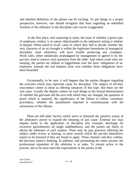and detailed definition of the phrase can be exciting. To put things in a proper perspective, however, one should recognize that fears regarding an unbridled freedom of the arbitrator in the discipline case can be exaggerated.

In the first place, and surprising to some, the issue of whether a given type of employee conduct is in nature objectionable in the industrial setting is seldom in dispute. When asked to recall cases in which they had to decide whether the very character of an act brought it within the legitimate boundaries of managerial discipline, most arbitrators will have trouble producing any examples. Work rules, either unilaterally promulgated by management or agreed to by the par-ties, tend to remove such questions from the table. And where work rules are missing, the parties are seldom at loggerheads over the basic obligations of an employee. Instead, the real disputes arise over whether those obligations have been breached.

Occasionally, to be sure, it will happen that the parties disagree regarding the activities which may represent cause for discipline. The subject of off-duty misconduct comes to mind as offering instances of this type. But these are the rare cases. Usually the dispute centers on such things as the factual determination of whether the grievants did the acts with which they are charged, the quantum of proof which is required, the significance of the failure to follow customary procedures, whether the punishment imposed is commensurate with the seriousness of the offense.

There are still other factors which serve to diminish the putative sweep of the arbitrator's power to expand the meaning of just cause. External law may impose limits to the application of discipline (for example, discharge for excessive garnishments on single indebtedness), and the parties are likely to advise the arbitrator of such matters. There may be past practices affecting the subject under review at hearing, or prior awards which the par-ties themselves expect to be honored if they are found to apply. These channel, and thus confine, the decision maker's thinking. In addition, and permeating the entire picture, the professional reputation of the arbitrator is at stake. To remain active in the process, she or he must meet the expectations of the parties in the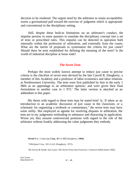decision to be rendered. The urgent need by the arbitrator to retain acceptability exerts a gravitational pull toward the exercise of judgment which is appropriate and conventional in the disciplinary setting.

Still, despite these built-in limitations on an arbitrator's conduct, the impulse persists in some quarters to translate the disciplinary concept into a set of tests or prescribed rules. This impulse can be detected in operation both internally within the profession of arbitration, and externally from the courts. What are the merits of proposals to systematize the criteria for just cause? Should there be tests established for defining the meaning of the term? Is the world of industrial discipline at loose ends?

#### *The Seven Tests*

Perhaps the most widely known attempt to reduce just cause to precise criteria is the checklist of seven tests devised by the late Carroll R. Daugherty, a member of this Academy and a professor of labor economics and labor relations at Northwestern University. The tests were first published by him in the early 1 960s as an appendage to an arbitration opinion,' and were given their final formulation in another case in 1 972.' The latter version is attached as an addendum to this paper.

My thesis with regard to these tests may be stated brief ly. If taken as an introduction to an academic discussion of just cause in the classroom, or a schematic for organizing a textbook or commentary," the seven tests may have some utility. But employed as agenda for resolving disputes in arbitration, the tests are in my judgement misleading in substance and distracting in application. Worse yet, they assume controversial positions with regard to the role of the arbitrator without frankly addressing the value judgments they embody.

*6Grief 8ros. Cooperage Corp.,* **42** LA **555** (Daugherty, **1964).**

*'?Wbirlpool Corp.,* 58 LA 421 (Daugherty, 1972).

'See Koven & Smith, Just Cause: The Seven Tests (San Francisco: Coloracre Publications 1985).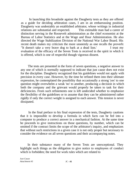In launching this broadside against the Daugherty tests as they are offered as a guide for deciding arbitration cases, I am in an embarrassing position. Daugherty was undeniably an established arbitrator, whose writings in industrial relations are substantial and respected. This estimable man had a career of distinction serving in the Roosevelt administration as the chief economist at the Bureau of Labor Statistics and at the Wage and Hour Administration. He also directed the Wage Stabilization Division of the National War Labor Board. His recent death makes my criticism the more unseemly as one recalls the proverb: "It doesn't take a very brave dog to bark at a dead lion.' I trust my evaluation of the efficacy of the Seven Tests is received in the spirit in which it is offered, which is one of respectful though vigorous dissent.

The tests are presented in the form of seven questions, a negative answer to any one of which is normally supposed to indicate that just cause does not exist for the discipline. Daugherty recognized that his guidelines would not apply with precision in every case. However, by the time he refined them into their ultimate expression, he contemplated the possibility that occasionally a strong 'yes' to one question might overwhelm a weak 'no' to another, producing a decision in which both the company and the grievant would properly be taken to task for their deficiencies. From such refinements one is left undecided whether to emphasize the flexibility of the guidelines or to assume that they can be administered rather rigidly if only the correct weight is assigned to each answer. This tension is never dissipated.

In the final preface to his final expression of the tests, Daugherty cautions that it is impossible to develop a formula in which facts can be fed into a computer to produce a correct answer in a mechanical fashion. At the same time he proceeds to give instructions on those questions, by number, which can be omitted if the contract limits the scope of the arbitrator's inquiry, and emphasizes that without such restrictions in a given case it is not only proper but necessary to consider the evidence on all seven questions and their accompanying notes.

In their substance many of the Seven Tests are unexceptional. They highlight such things as the obligation to give notice to employees of conduct which is forbidden; the need for work rules which are related to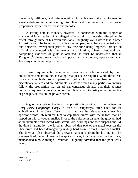the orderly, efficient, and safe operation of the business; the requirement of evenhandedness in administering discipline; and the necessity for a proper proportionality between offense and **penalty.**

A jarring note is sounded, however, in connection with the subject of managerial investigation of an alleged offense prior to imposing discipline. In effect, through three of his seven questions, Daugherty lays it down that in order for just cause to be found for discipline the company must have conducted a fair and objective investigation prior to any discipline being imposed, through an official unconnected with the events in arbitration, where substantial and compelling evidence of guilt is obtained. It must be understood that in Daugherty's views these criteria are imposed by the arbitrator, separate and apart from any contractual requirements.

These requirements have often been uncritically repeated by both practitioners and arbitrators, in stating what just cause requires. While these tests concededly embody sound personnel policy in the administration of a disciplinary system and are admirable standards which many parties voluntarily follow, the proposition that an arbitral consensus dictates that their absence normally requires the invalidation of discipline is hard to justify either in practice or principle, at least in the private sector.

A good example of the tests in application is provided by the decision in *Grief Bros. Cooperage Corp.,'* a case of Daugherty's often cited for its embodiment of the Seven Tests. In that instance the grievant was a machine operator whose job required him to cap fiber drums with metal tops that he tapped on with a wooden mallet. Prior to the episode in dispute, the grievant had an unfavorable work record with several oral warnings and two suspensions. At the time in arbitration the foreman observed that two of the metal tops on the fiber drum had been damaged by unduly hard blows from the wooden mallet. The foreman also observed the grievant damage a drum by kicking it. The foreman fired the employee on the spot and later, in an altercation in the office, manhandled him. Although Arbitrator Daugherty admitted that the poor work record

*'Supra* note 6.

*Just Cause Attachment #3* JC - 4 2 ~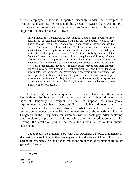of the employee otherwise supported discharge under the principles of progressive discipline, he reinstated the grievant because there was no predischarge investigation in accordance with his Seven Tests. Is comment in support of this result reads as follows:

[E]ven though the 'no' answers to Questions 3, 4, and 5 might appear to have been made on technical grounds, said answers have great weight in any discipline case. Every accused employee in an industrial democracy has the right to 'due process of law' and the right to be heard before discipline is administered. These rights are precious to all free men and are not lightly or hastily to be disregarded or denied. The Arbitrator is fully mindful of the Company's need for, equity in, and right to require careful, safe, efficient performance by its employees. But before the Company can discipline an employee for failure to meet said requirement, the Company must take the pains to establish such failure. Maybe X-was guilty as hell; maybe also there are many gangsters who go free because of legal technicalities. And this is doubtless unfortunate. But Company and government prosecutors must understand that the legal technicalities exist also to protect the innocent from unjust, unwarranted punishment. Society is willing to let the presumably guilty go free on technical grounds in order that free, innocent men can be secure from arbitrary, capricious action."'

Disregarding the dubious equation of industrial relations and the criminal law, it should first be emphasized that the present criticism is not directed at the right of Daugherty to interpret just cause-to impose the investigatory requirements he describes in Questions 3, 4, and 5. His judgment is what the parties bargained for, and his judgment is what they got. Even in that connection, however, one should note the incongruity of the remedy provided by Daugherty in the *Grief case:* reinstatement without back pay. After declaring that it violates due process to discipline before a formal investigation and a prior hearing, the arbitrator permits de facto the imposition of a four month suspension.

But, to repeat, the argument here is not with Daugherty's exercise of judgment in that particular case but rather the clear suggestion that the tests which he follows are part of the 'common law' of arbitration, that is, the product of the opinions of arbitrators generally. Even a

*<sup>&</sup>quot;Id.* at 557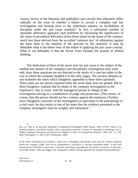cursory survey of the literature and published cases reveals that arbitrators differ radically on the issue of whether a failure to accord a complete and fair investigation and hearing prior to the arbitration requires an invalidation of discipline under the just cause standard." In fact, a substantial number of reputable arbitrators approach such problems by measuring the significance of the claim of procedural deficiency (even those based on the terms of the contract, much less those derived from the so-called 'common law" of arbitration) against the harm done to the interests of the grievant by the omission. It may be debatable what is the better view of the matter in applying the just cause concept. What is not debatable is that the Seven Tests misstate the posture of arbitral thinking.

The dedication of three of the seven tests for just cause to the subject of the method and manner of the company's pre-disciplinary investigation may seem odd, since these questions are not directed to the merits of a case but rather to the way in which the company handled it in the early stages. The mystery deepens as one examines the notes which Daugherty appended to these three questions. These notes are not always reported when the seven basic tests are quoted. But in them Daugherty explains that he thinks of the company investigation as the employee's "day in court,' with the managerial person in charge of the investigation serving as a combination of judge and prosecutor. (This means, of course, that this person should not be a witness against the employee.) Further, since Daugherty conceives of the investigation as equivalent to the proceedings in a trial court, he also insists in one of his notes that the evidence presented to the company investigator must be weighty and substantial."'

11

12

In the earlier formulation in *Grief Bros., supta note* 6, Daugherty specifically states that the evidence required before the company 'judge' need not be 'preponderant, conclusive or 'beyond reasonable doubt." In the final formulation in *VVbirlpool, supra* note 7, the same note drops 'preponderant' but retains 'conclusive or 'beyond a reasonable doubt." Does this sugges-t the 'substantial' evidence should approach the standard of preponderance?

*See, e.g.,* Hill, Jr., & Sincropi, Remedies in Arbitration (Washington :BNA Books, 1981), 91-96. ('There is no uniform solution or preferred remedy when a procedural violation is found in a discipline or discharge case.'); Hogler, *Employee Discipline and Due Process Rights: Is There an Aopropriate Remedy?* 1982 Lab. L.J. 783; *Maui P@neapple Co., 86* LA 907 (Tsukiyama, 1986).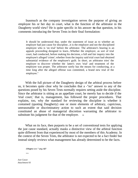Inasmuch as the company investigation serves the purpose of giving an employee his or her day in court, what is the function of the arbitrator in the Daugherty world view? He is quite specific in his answer **to** that question, in his comments introducing the Seven Tests in their final formulation:

It should be understood that, under the statement of issue as to whether an employer had just cause for discipline...it is the employer and not the disciplined employee who is 'on trial' before the arbitrator. The arbitrator's hearing is an appeals proceeding designed to learn...Whether the employer, as sort of trial court, had conducted, before making his decision, a full and fair inquiry into the employee's alleged 'crime'; whether from the inquiry said trial court had obtained substantial evidence of the employee's guilt. In short, an arbitrator tries' the employer to discover whether the latter's own 'trial' and treatment of the employee was proper. The arbitrator rarely has the means for conducting, at a time long after the alleged offense was committed, a brand new trial of the employee."

With the full picture of the Daugherty design of the arbitral process before us, it becomes quite clear why he concludes that a -"no" answer to any of the questions posed by his Seven Tests normally requires setting aside the discipline. Since the arbitrator is sitting as an appellate court, he merely has to decide if the 'trial court,' that is, management, has followed the proper procedures. That explains, too, why the standard for reviewing the discipline is whether it contained (quoting Daugherty) one or more elements of arbitrary, capricious, unreasonable or discriminatory action to such an extent that said decision constituted an abuse of managerial discretion warranting the arbitrator to substitute his judgment for that of the employer.  $_{14}$ 

What on its face, then purports to be a set of conventional tests for applying the just cause standard, actually masks a distinctive view of the arbitral function quite different from that experienced by most of the members of this Academy. In the context of the Seven Tests, the arbitrator is not expected to be a fact finder but instead simply reviews what management has already determined to be the facts.

```
13Supra note 7 at p. 427
14/ct.
```
*Just Cause Attachment 93*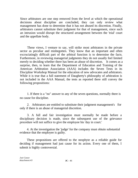Since arbitrators are one step removed from the level at which the operational decisions about discipline are concluded, they can only review what management has done to determine that it has not abused its discretion. Finally, arbitrators cannot substitute their judgment for that of management, since such an intrusion would disrupt the structured arrangement between the 'trial' court and the appellate body.

These views, I venture to say, will strike most arbitrators in the private sector as peculiar and misbegotten. They know that an important and often excruciatingly difficult part of the arbitral function is to determine the facts. Furthermore, in reviewing managerial judgments they do not usually feel limited merely to deciding whether there has been an abuse of discretion. It comes as a surprise, then, to learn that the Department of Education and Training of the American Arbitration Association (AAA) includes the Seven Tests in its Discipline Workshop Manual for the education of new advocates and arbitrators. While it is true that a full statement of Daugherty's philosophy of arbitration is not included in the AAA Manual, the tests as reported there still convey the following propositions:

1. If there is a "no" answer to any of the seven questions, normally there is no cause for discipline.

2. Arbitrators are entitled to substitute their judgment management's for only if there is an abuse of managerial discretion.

3. A full and fair investigation must normally be made before a disciplinary decision is made, since the subsequent use of the grievance procedure will not suffice to give the employee his 'day in court.'

4. At the investigation the 'judge' for the company must obtain substantial evidence that the employee is guilty.

These propositions are offered to the neophyte as a reliable guide for deciding if management had just cause for its action. Every one of them, I submit is highly controversial.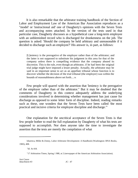It is also remarkable that the arbitrator training handbook of the Section of Labor and Employment Law of the American Bar Association reproduces as a "model' or 'instructional aid' one of Daugherty's opinions with the Seven Tests and accompanying notes attached. In the version of the tests used in that particular case, Daugherty discusses as a hypothetical case a long-term employee with an unblemished record who is discharged for drunkenness on the job. The question is asked: 'Should the company be held arbitrary and unreasonable if it decided to discharge such an employee?' His answer is, in part, as follows:

[L]eniency is the prerogative of the employer rather than of the arbitrator; and the latter is not supposed to substitute his judgment in this area for that of the company unless there is compelling evidence that the company abused its discretion. This is the rule, even though an arbitrator, if he had been the original trial judge might have imposed a lesser penalty. Actually, the arbitrator may be said in an important sense to act as an appellate tribunal whose function is to discover whether the decision of the trial tribunal (the employer) was within the bounds of reasonableness above set forth....'16

Few people will quarrel with the assertion that 'leniency is the prerogative of the employer rather than of the arbitrator." But it may be doubted that the comments of Daugherty in this context adequately address the underlying considerations involved in determining whether management has just cause for discharge as opposed to some letter form of discipline. Indeed, reading remarks such as these, one wonders that the Seven Tests have been called 'the most practical and incisive criteria for employee discipline and discharge."'

One explanation for the uncritical acceptance of the Seven Tests is that few people bother to read the full explanation by Daugherty of what his tests are supposed to accomplish. Nor does anyone take the time to investigate the assertion that the tests are merely the compilation of what

lsbarreca, Miller & Zimny, Labor Arbitrator Development: A Handbook (Washington: BNA Books, 1983), 408.

*<sup>&</sup>quot;Id.* At 418.

<sup>&</sup>quot;17 Arbitration Times, Spring 1 988, at 2 (newspaper of the American Arbitration Association).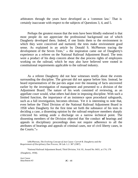arbitrators through the years have developed as a 'common law.' That is certainly inaccurate with respect to the subjects of Questions 3, 4, and 5.

Perhaps the greatest reason that the tests have been blindly endorsed is that most people do not appreciate the professional background out of which Daugherty developed them. Indeed, if one limits them to the environment in which they were conceived and nurtured, the tests make environment good sense. As explained in an article by Donald S. McPherson tracing the development of the Seven Tests," 18 the inspiration came out of Daugherty's experience as a referee on the National Railroad Adjustment Board. The tests were a product of his deep concern about the due process rights of employees working on the railroad, which he may also have believed were rooted in constitutional requirements applicable to the railroad industry.

As a referee Daugherty did not hear witnesses testify about the events surrounding the discipline. The grievant did not appear before him. Instead, he heard representatives of the par-ties argue over the meaning of facts uncovered earlier by the investigation of management and presented to a division of the Adjustment Board. The nature of his work consisted of reviewing, as an appellate court would, what others had done in imposing discipline. With such a limited function, the importance of an insistence upon procedural safeguards, such as a full investigation, becomes obvious. Yet it is interesting to note that, even before the Third Division of the National Railroad Adjustment Board in 1958 when Daugherty for the first time set forth the substance of his tests in deciding a case, a dissenting opinion by the railroad employer members sharply criticized his setting aside a discharge on a narrow technical point. The dissenting members of the Division objected that 'the conduct **of** hearings and appeals in disciplinary proceedings does not require adherence to all the attributes of hearings and appeals of criminal cases, nor of civil liberty cases, in the Courts."<sup>19</sup>

"National Railroad Adjustment Board, Third Division, Vol. 81, Award No. 8431, at 174, 178 (Daugherty, 1958).

lsMcPherson, *The Evolving Concept of Just Cause: Carro# R. Daugherty and the Requirement of Disciplinary Due Process,* 38 Lab. L.J. 387 (1987).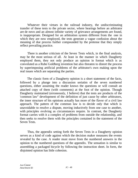Whatever their virtues in the railroad industry, the undiscriminating transfer of these tests to the private sector, where hearings before an arbitrator are de novo and an almost infinite variety of grievance arrangements are found, is inappropriate. Designed for an arbitration system different from the one in which they are now employed, the tests generate a vague confusion about the meaning of due process further compounded by the pretense that they simply reflect prevailing practice.

There is another criticism of the Seven Tests which, in the final analysis, may be the most serious of all. At least in the manner in which Daugherty employed them, they not only produce an opinion in format which is as convoluted as a Rube Goldberg invention but also threaten to distort the process by superimposing artificial problems of the arbitrator's own making upon the real issues which are separating the parties.

The classic form of a Daugherty opinion is a short statement of the facts, followed by a plunge into a discussion seriatim of the seven numbered questions, either assuming the reader knows the questions or will consult an attached copy of them (with comments) at the foot of the opinion. Though Daugherty maintained (erroneously, I believe) that the tests are products of the 'common law" development of the definition of just cause by other arbitrators, the inner structure of his opinions actually has more of the flavor of a civil law approach. The pattern of the common law is to decide only that which is unavoidable to resolve a dispute, moving inductively from one case to another, with principles evolving as circumstances require. In contrast, the Daugherty format carries with it a complex of problems from outside the relationship, and then seeks to resolve them with the principles contained in the statement of the Seven Tests.

Thus, the appendix setting forth the Seven Tests in a Daugherty opinion serves as a kind of code against which the decision maker measures the events revealed by the case. A reader must move from the numbered answers in the opinion to the numbered questions of the appendix. The sensation is similar to assembling a packaged bicycle by following the instruction sheet. In form, the disjointed opinion has little cohesion.